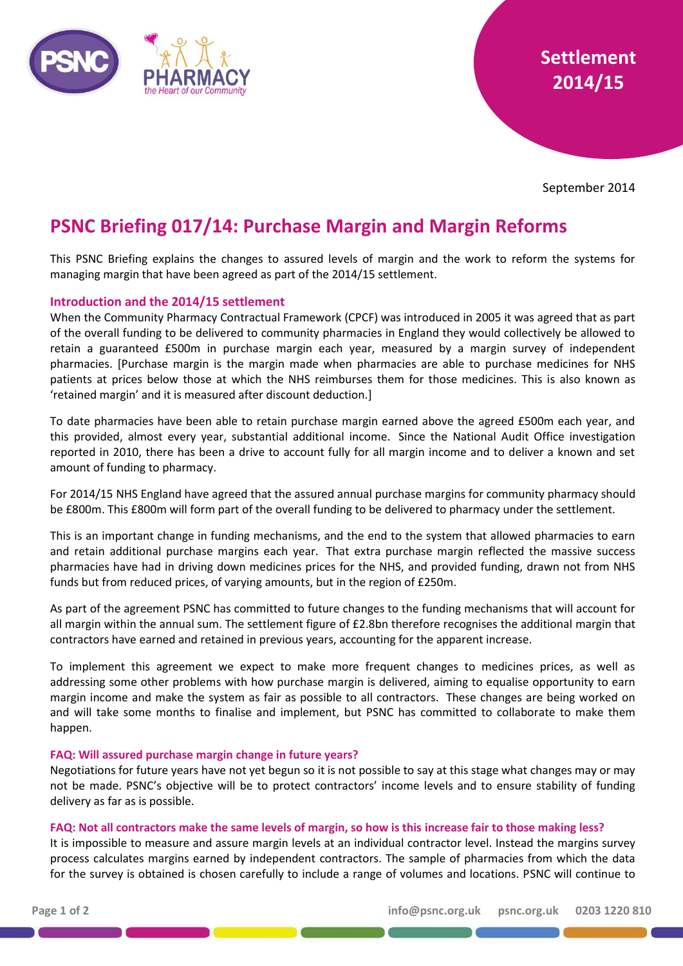



September 2014

# **PSNC Briefing 017/14: Purchase Margin and Margin Reforms**

This PSNC Briefing explains the changes to assured levels of margin and the work to reform the systems for managing margin that have been agreed as part of the 2014/15 settlement.

# **Introduction and the 2014/15 settlement**

When the Community Pharmacy Contractual Framework (CPCF) was introduced in 2005 it was agreed that as part of the overall funding to be delivered to community pharmacies in England they would collectively be allowed to retain a guaranteed £500m in purchase margin each year, measured by a margin survey of independent pharmacies. [Purchase margin is the margin made when pharmacies are able to purchase medicines for NHS patients at prices below those at which the NHS reimburses them for those medicines. This is also known as 'retained margin' and it is measured after discount deduction.]

To date pharmacies have been able to retain purchase margin earned above the agreed £500m each year, and this provided, almost every year, substantial additional income. Since the National Audit Office investigation reported in 2010, there has been a drive to account fully for all margin income and to deliver a known and set amount of funding to pharmacy.

For 2014/15 NHS England have agreed that the assured annual purchase margins for community pharmacy should be £800m. This £800m will form part of the overall funding to be delivered to pharmacy under the settlement.

This is an important change in funding mechanisms, and the end to the system that allowed pharmacies to earn and retain additional purchase margins each year. That extra purchase margin reflected the massive success pharmacies have had in driving down medicines prices for the NHS, and provided funding, drawn not from NHS funds but from reduced prices, of varying amounts, but in the region of £250m.

As part of the agreement PSNC has committed to future changes to the funding mechanisms that will account for all margin within the annual sum. The settlement figure of £2.8bn therefore recognises the additional margin that contractors have earned and retained in previous years, accounting for the apparent increase.

To implement this agreement we expect to make more frequent changes to medicines prices, as well as addressing some other problems with how purchase margin is delivered, aiming to equalise opportunity to earn margin income and make the system as fair as possible to all contractors. These changes are being worked on and will take some months to finalise and implement, but PSNC has committed to collaborate to make them happen.

## **FAQ: Will assured purchase margin change in future years?**

Negotiations for future years have not yet begun so it is not possible to say at this stage what changes may or may not be made. PSNC's objective will be to protect contractors' income levels and to ensure stability of funding delivery as far as is possible.

## **FAQ: Not all contractors make the same levels of margin, so how is this increase fair to those making less?**

It is impossible to measure and assure margin levels at an individual contractor level. Instead the margins survey process calculates margins earned by independent contractors. The sample of pharmacies from which the data for the survey is obtained is chosen carefully to include a range of volumes and locations. PSNC will continue to